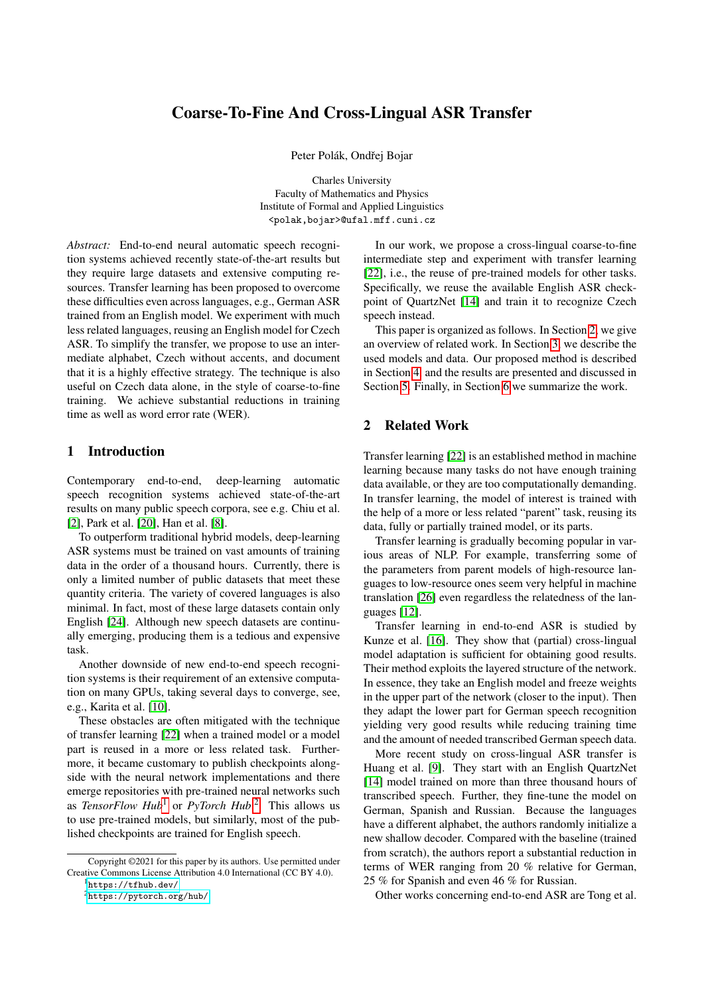# <span id="page-0-1"></span>Coarse-To-Fine And Cross-Lingual ASR Transfer

Peter Polák, Ondřej Bojar

Charles University Faculty of Mathematics and Physics Institute of Formal and Applied Linguistics <polak,bojar>@ufal.mff.cuni.cz

*Abstract:* End-to-end neural automatic speech recognition systems achieved recently state-of-the-art results but they require large datasets and extensive computing resources. Transfer learning has been proposed to overcome these difficulties even across languages, e.g., German ASR trained from an English model. We experiment with much less related languages, reusing an English model for Czech ASR. To simplify the transfer, we propose to use an intermediate alphabet, Czech without accents, and document that it is a highly effective strategy. The technique is also useful on Czech data alone, in the style of coarse-to-fine training. We achieve substantial reductions in training time as well as word error rate (WER).

## 1 Introduction

Contemporary end-to-end, deep-learning automatic speech recognition systems achieved state-of-the-art results on many public speech corpora, see e.g. Chiu et al. [\[2\]](#page-5-0), Park et al. [\[20\]](#page-6-0), Han et al. [\[8\]](#page-5-1).

To outperform traditional hybrid models, deep-learning ASR systems must be trained on vast amounts of training data in the order of a thousand hours. Currently, there is only a limited number of public datasets that meet these quantity criteria. The variety of covered languages is also minimal. In fact, most of these large datasets contain only English [\[24\]](#page-6-1). Although new speech datasets are continually emerging, producing them is a tedious and expensive task.

Another downside of new end-to-end speech recognition systems is their requirement of an extensive computation on many GPUs, taking several days to converge, see, e.g., Karita et al. [\[10\]](#page-5-2).

These obstacles are often mitigated with the technique of transfer learning [\[22\]](#page-6-2) when a trained model or a model part is reused in a more or less related task. Furthermore, it became customary to publish checkpoints alongside with the neural network implementations and there emerge repositories with pre-trained neural networks such as *TensorFlow Hub*<sup>1</sup> or *PyTorch Hub*. <sup>2</sup> This allows us to use pre-trained models, but similarly, most of the published checkpoints are trained for English speech.

<sup>1</sup><https://tfhub.dev/>

In our work, we propose a cross-lingual coarse-to-fine intermediate step and experiment with transfer learning [\[22\]](#page-6-2), i.e., the reuse of pre-trained models for other tasks. Specifically, we reuse the available English ASR checkpoint of QuartzNet [\[14\]](#page-5-3) and train it to recognize Czech speech instead.

This paper is organized as follows. In Section [2,](#page-0-0) we give an overview of related work. In Section [3,](#page-1-0) we describe the used models and data. Our proposed method is described in Section [4,](#page-2-0) and the results are presented and discussed in Section [5.](#page-3-0) Finally, in Section [6](#page-4-0) we summarize the work.

## <span id="page-0-0"></span>2 Related Work

Transfer learning [\[22\]](#page-6-2) is an established method in machine learning because many tasks do not have enough training data available, or they are too computationally demanding. In transfer learning, the model of interest is trained with the help of a more or less related "parent" task, reusing its data, fully or partially trained model, or its parts.

Transfer learning is gradually becoming popular in various areas of NLP. For example, transferring some of the parameters from parent models of high-resource languages to low-resource ones seem very helpful in machine translation [\[26\]](#page-6-3) even regardless the relatedness of the languages [\[12\]](#page-5-4).

Transfer learning in end-to-end ASR is studied by Kunze et al. [\[16\]](#page-5-5). They show that (partial) cross-lingual model adaptation is sufficient for obtaining good results. Their method exploits the layered structure of the network. In essence, they take an English model and freeze weights in the upper part of the network (closer to the input). Then they adapt the lower part for German speech recognition yielding very good results while reducing training time and the amount of needed transcribed German speech data.

More recent study on cross-lingual ASR transfer is Huang et al. [\[9\]](#page-5-6). They start with an English QuartzNet [\[14\]](#page-5-3) model trained on more than three thousand hours of transcribed speech. Further, they fine-tune the model on German, Spanish and Russian. Because the languages have a different alphabet, the authors randomly initialize a new shallow decoder. Compared with the baseline (trained from scratch), the authors report a substantial reduction in terms of WER ranging from 20 % relative for German, 25 % for Spanish and even 46 % for Russian.

Other works concerning end-to-end ASR are Tong et al.

Copyright ©2021 for this paper by its authors. Use permitted under Creative Commons License Attribution 4.0 International (CC BY 4.0).

<sup>2</sup><https://pytorch.org/hub/>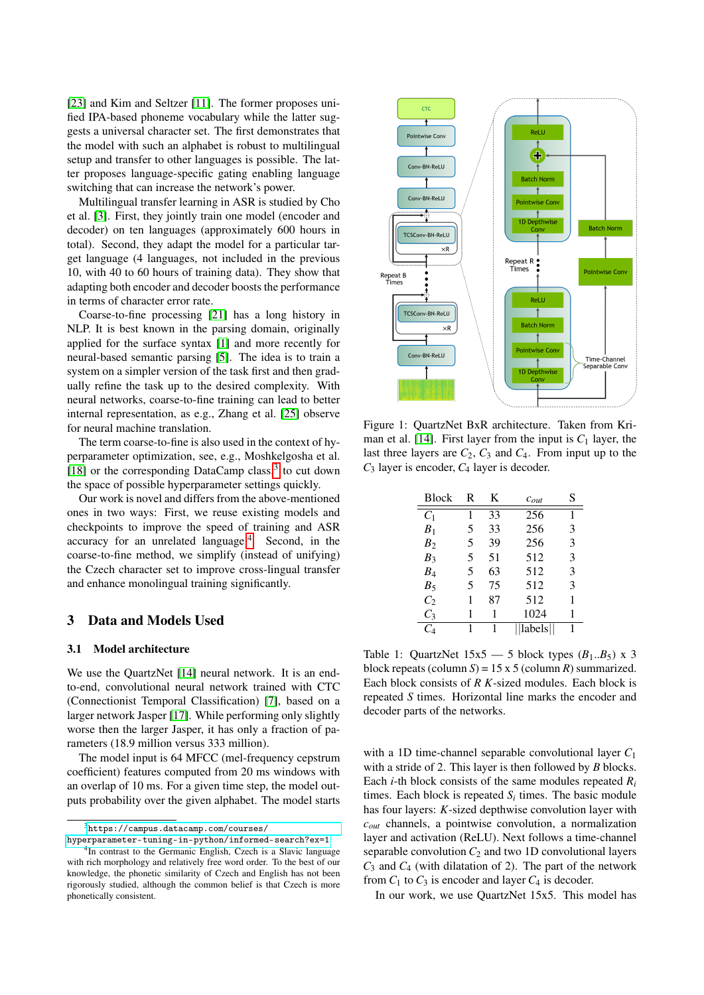[\[23\]](#page-6-4) and Kim and Seltzer [\[11\]](#page-5-7). The former proposes unified IPA-based phoneme vocabulary while the latter suggests a universal character set. The first demonstrates that the model with such an alphabet is robust to multilingual setup and transfer to other languages is possible. The latter proposes language-specific gating enabling language switching that can increase the network's power.

Multilingual transfer learning in ASR is studied by Cho et al. [\[3\]](#page-5-8). First, they jointly train one model (encoder and decoder) on ten languages (approximately 600 hours in total). Second, they adapt the model for a particular target language (4 languages, not included in the previous 10, with 40 to 60 hours of training data). They show that adapting both encoder and decoder boosts the performance in terms of character error rate.

Coarse-to-fine processing [\[21\]](#page-6-5) has a long history in NLP. It is best known in the parsing domain, originally applied for the surface syntax [\[1\]](#page-4-1) and more recently for neural-based semantic parsing [\[5\]](#page-5-9). The idea is to train a system on a simpler version of the task first and then gradually refine the task up to the desired complexity. With neural networks, coarse-to-fine training can lead to better internal representation, as e.g., Zhang et al. [\[25\]](#page-6-6) observe for neural machine translation.

The term coarse-to-fine is also used in the context of hyperparameter optimization, see, e.g., Moshkelgosha et al. [\[18\]](#page-5-10) or the corresponding DataCamp class,<sup>[3](#page-0-1)</sup> to cut down the space of possible hyperparameter settings quickly.

Our work is novel and differs from the above-mentioned ones in two ways: First, we reuse existing models and checkpoints to improve the speed of training and ASR accuracy for an unrelated language. $4$  Second, in the coarse-to-fine method, we simplify (instead of unifying) the Czech character set to improve cross-lingual transfer and enhance monolingual training significantly.

### <span id="page-1-0"></span>3 Data and Models Used

#### 3.1 Model architecture

We use the QuartzNet [\[14\]](#page-5-3) neural network. It is an endto-end, convolutional neural network trained with CTC (Connectionist Temporal Classification) [\[7\]](#page-5-11), based on a larger network Jasper [\[17\]](#page-5-12). While performing only slightly worse then the larger Jasper, it has only a fraction of parameters (18.9 million versus 333 million).

The model input is 64 MFCC (mel-frequency cepstrum coefficient) features computed from 20 ms windows with an overlap of 10 ms. For a given time step, the model outputs probability over the given alphabet. The model starts

<span id="page-1-1"></span>

Figure 1: QuartzNet BxR architecture. Taken from Kri-man et al. [\[14\]](#page-5-3). First layer from the input is  $C_1$  layer, the last three layers are  $C_2$ ,  $C_3$  and  $C_4$ . From input up to the *C*<sup>3</sup> layer is encoder, *C*<sup>4</sup> layer is decoder.

<span id="page-1-2"></span>

| <b>Block</b>         | R | K  | $c_{out}$ | S |
|----------------------|---|----|-----------|---|
| $C_1$                | 1 | 33 | 256       | 1 |
| B <sub>1</sub>       | 5 | 33 | 256       | 3 |
| B <sub>2</sub>       | 5 | 39 | 256       | 3 |
| $B_3$                | 5 | 51 | 512       | 3 |
| $B_4$                | 5 | 63 | 512       | 3 |
| $B_5$                | 5 | 75 | 512       | 3 |
| $C_2$                | 1 | 87 | 512       | 1 |
| $C_3$                | 1 | 1  | 1024      | 1 |
| $\mathit{C}_{\rm 4}$ | 1 | 1  | labels    | 1 |

Table 1: QuartzNet  $15x5 - 5$  block types  $(B_1..B_5)$  x 3 block repeats (column  $S$ ) = 15 x 5 (column  $R$ ) summarized. Each block consists of *R K*-sized modules. Each block is repeated *S* times. Horizontal line marks the encoder and decoder parts of the networks.

with a 1D time-channel separable convolutional layer *C*<sup>1</sup> with a stride of 2. This layer is then followed by *B* blocks. Each *i*-th block consists of the same modules repeated  $R_i$ times. Each block is repeated  $S_i$  times. The basic module has four layers: *K*-sized depthwise convolution layer with *cout* channels, a pointwise convolution, a normalization layer and activation (ReLU). Next follows a time-channel separable convolution  $C_2$  and two 1D convolutional layers *C*<sup>3</sup> and *C*<sup>4</sup> (with dilatation of 2). The part of the network from  $C_1$  to  $C_3$  is encoder and layer  $C_4$  is decoder.

In our work, we use QuartzNet 15x5. This model has

<sup>3</sup>[https://campus.datacamp.com/courses/](https://campus.datacamp.com/courses/hyperparameter-tuning-in-python/informed-search?ex=1)

[hyperparameter-tuning-in-python/informed-search?ex=1](https://campus.datacamp.com/courses/hyperparameter-tuning-in-python/informed-search?ex=1) <sup>4</sup>In contrast to the Germanic English, Czech is a Slavic language with rich morphology and relatively free word order. To the best of our knowledge, the phonetic similarity of Czech and English has not been rigorously studied, although the common belief is that Czech is more phonetically consistent.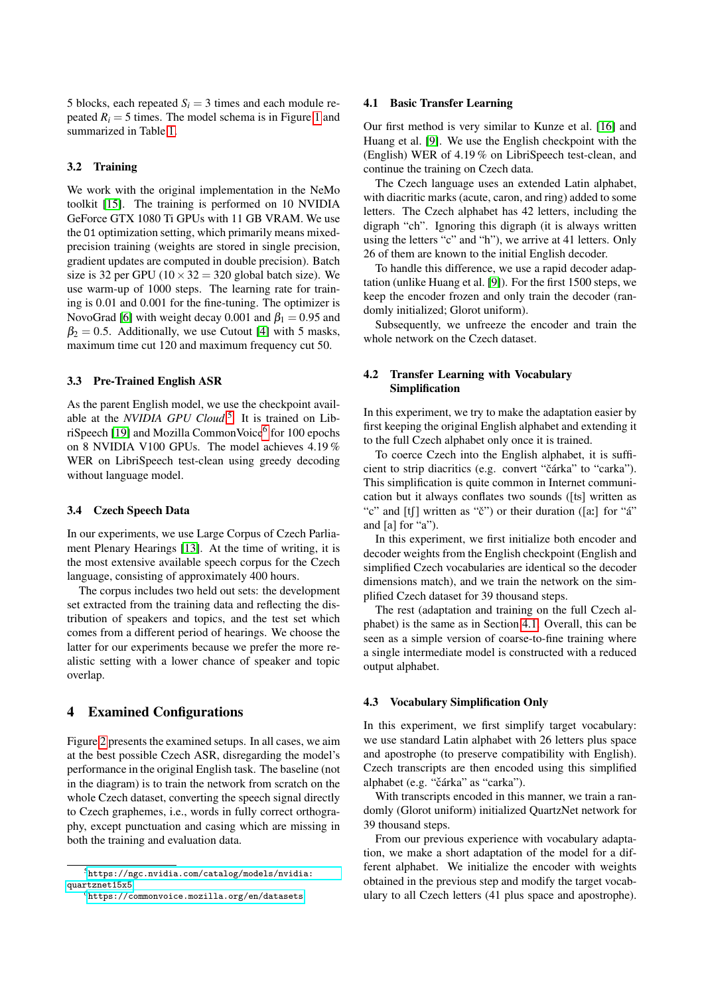5 blocks, each repeated  $S_i = 3$  times and each module repeated  $R_i = 5$  times. The model schema is in Figure [1](#page-1-1) and summarized in Table [1.](#page-1-2)

### 3.2 Training

We work with the original implementation in the NeMo toolkit [\[15\]](#page-5-13). The training is performed on 10 NVIDIA GeForce GTX 1080 Ti GPUs with 11 GB VRAM. We use the O1 optimization setting, which primarily means mixedprecision training (weights are stored in single precision, gradient updates are computed in double precision). Batch size is 32 per GPU ( $10 \times 32 = 320$  global batch size). We use warm-up of 1000 steps. The learning rate for training is 0.01 and 0.001 for the fine-tuning. The optimizer is NovoGrad [\[6\]](#page-5-14) with weight decay 0.001 and  $\beta_1 = 0.95$  and  $\beta_2 = 0.5$ . Additionally, we use Cutout [\[4\]](#page-5-15) with 5 masks, maximum time cut 120 and maximum frequency cut 50.

#### 3.3 Pre-Trained English ASR

As the parent English model, we use the checkpoint available at the *NVIDIA GPU Cloud*. [5](#page-0-1) It is trained on Lib-riSpeech [\[19\]](#page-6-7) and Mozilla CommonVoice<sup>[6](#page-0-1)</sup> for 100 epochs on 8 NVIDIA V100 GPUs. The model achieves 4.19 % WER on LibriSpeech test-clean using greedy decoding without language model.

#### 3.4 Czech Speech Data

In our experiments, we use Large Corpus of Czech Parliament Plenary Hearings [\[13\]](#page-5-16). At the time of writing, it is the most extensive available speech corpus for the Czech language, consisting of approximately 400 hours.

The corpus includes two held out sets: the development set extracted from the training data and reflecting the distribution of speakers and topics, and the test set which comes from a different period of hearings. We choose the latter for our experiments because we prefer the more realistic setting with a lower chance of speaker and topic overlap.

## <span id="page-2-0"></span>4 Examined Configurations

Figure [2](#page-3-1) presents the examined setups. In all cases, we aim at the best possible Czech ASR, disregarding the model's performance in the original English task. The baseline (not in the diagram) is to train the network from scratch on the whole Czech dataset, converting the speech signal directly to Czech graphemes, i.e., words in fully correct orthography, except punctuation and casing which are missing in both the training and evaluation data.

#### <span id="page-2-1"></span>4.1 Basic Transfer Learning

Our first method is very similar to Kunze et al. [\[16\]](#page-5-5) and Huang et al. [\[9\]](#page-5-6). We use the English checkpoint with the (English) WER of 4.19 % on LibriSpeech test-clean, and continue the training on Czech data.

The Czech language uses an extended Latin alphabet, with diacritic marks (acute, caron, and ring) added to some letters. The Czech alphabet has 42 letters, including the digraph "ch". Ignoring this digraph (it is always written using the letters "c" and "h"), we arrive at 41 letters. Only 26 of them are known to the initial English decoder.

To handle this difference, we use a rapid decoder adaptation (unlike Huang et al. [\[9\]](#page-5-6)). For the first 1500 steps, we keep the encoder frozen and only train the decoder (randomly initialized; Glorot uniform).

Subsequently, we unfreeze the encoder and train the whole network on the Czech dataset.

### 4.2 Transfer Learning with Vocabulary Simplification

In this experiment, we try to make the adaptation easier by first keeping the original English alphabet and extending it to the full Czech alphabet only once it is trained.

To coerce Czech into the English alphabet, it is sufficient to strip diacritics (e.g. convert "čárka" to "carka"). This simplification is quite common in Internet communication but it always conflates two sounds ([ts] written as "c" and  $[t]$  written as "č") or their duration ( $[a!]$  for "á" and [a] for "a").

In this experiment, we first initialize both encoder and decoder weights from the English checkpoint (English and simplified Czech vocabularies are identical so the decoder dimensions match), and we train the network on the simplified Czech dataset for 39 thousand steps.

The rest (adaptation and training on the full Czech alphabet) is the same as in Section [4.1.](#page-2-1) Overall, this can be seen as a simple version of coarse-to-fine training where a single intermediate model is constructed with a reduced output alphabet.

#### 4.3 Vocabulary Simplification Only

In this experiment, we first simplify target vocabulary: we use standard Latin alphabet with 26 letters plus space and apostrophe (to preserve compatibility with English). Czech transcripts are then encoded using this simplified alphabet (e.g. "čárka" as "carka").

With transcripts encoded in this manner, we train a randomly (Glorot uniform) initialized QuartzNet network for 39 thousand steps.

From our previous experience with vocabulary adaptation, we make a short adaptation of the model for a different alphabet. We initialize the encoder with weights obtained in the previous step and modify the target vocabulary to all Czech letters (41 plus space and apostrophe).

<sup>5</sup>[https://ngc.nvidia.com/catalog/models/nvidia:](https://ngc.nvidia.com/catalog/models/nvidia:quartznet15x5) [quartznet15x5](https://ngc.nvidia.com/catalog/models/nvidia:quartznet15x5)

<sup>6</sup><https://commonvoice.mozilla.org/en/datasets>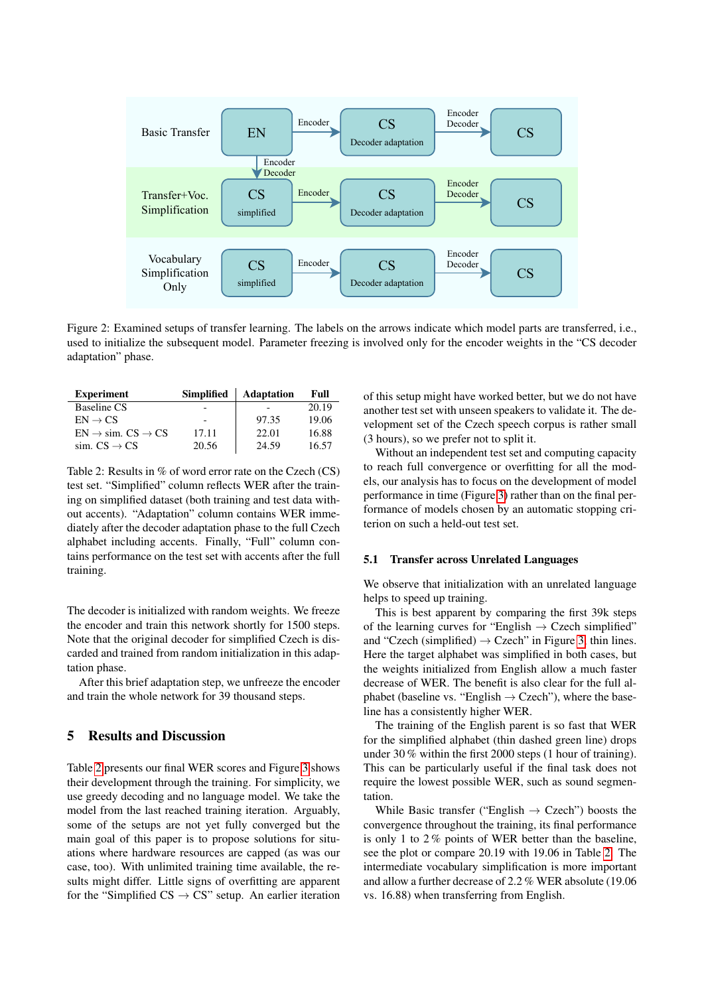<span id="page-3-1"></span>

Figure 2: Examined setups of transfer learning. The labels on the arrows indicate which model parts are transferred, i.e., used to initialize the subsequent model. Parameter freezing is involved only for the encoder weights in the "CS decoder adaptation" phase.

<span id="page-3-2"></span>

| <b>Experiment</b>                       | <b>Simplified</b> | <b>Adaptation</b> | Full  |
|-----------------------------------------|-------------------|-------------------|-------|
| <b>Baseline CS</b>                      |                   |                   | 20.19 |
| $EN \rightarrow CS$                     |                   | 97.35             | 19.06 |
| $EN \rightarrow sim. CS \rightarrow CS$ | 17.11             | 22.01             | 16.88 |
| sim. $CS \rightarrow CS$                | 20.56             | 24.59             | 16.57 |

Table 2: Results in % of word error rate on the Czech (CS) test set. "Simplified" column reflects WER after the training on simplified dataset (both training and test data without accents). "Adaptation" column contains WER immediately after the decoder adaptation phase to the full Czech alphabet including accents. Finally, "Full" column contains performance on the test set with accents after the full training.

The decoder is initialized with random weights. We freeze the encoder and train this network shortly for 1500 steps. Note that the original decoder for simplified Czech is discarded and trained from random initialization in this adaptation phase.

After this brief adaptation step, we unfreeze the encoder and train the whole network for 39 thousand steps.

## <span id="page-3-0"></span>5 Results and Discussion

Table [2](#page-3-2) presents our final WER scores and Figure [3](#page-4-2) shows their development through the training. For simplicity, we use greedy decoding and no language model. We take the model from the last reached training iteration. Arguably, some of the setups are not yet fully converged but the main goal of this paper is to propose solutions for situations where hardware resources are capped (as was our case, too). With unlimited training time available, the results might differ. Little signs of overfitting are apparent for the "Simplified  $CS \rightarrow CS$ " setup. An earlier iteration

of this setup might have worked better, but we do not have another test set with unseen speakers to validate it. The development set of the Czech speech corpus is rather small (3 hours), so we prefer not to split it.

Without an independent test set and computing capacity to reach full convergence or overfitting for all the models, our analysis has to focus on the development of model performance in time (Figure [3\)](#page-4-2) rather than on the final performance of models chosen by an automatic stopping criterion on such a held-out test set.

#### 5.1 Transfer across Unrelated Languages

We observe that initialization with an unrelated language helps to speed up training.

This is best apparent by comparing the first 39k steps of the learning curves for "English  $\rightarrow$  Czech simplified" and "Czech (simplified)  $\rightarrow$  Czech" in Figure [3,](#page-4-2) thin lines. Here the target alphabet was simplified in both cases, but the weights initialized from English allow a much faster decrease of WER. The benefit is also clear for the full alphabet (baseline vs. "English  $\rightarrow$  Czech"), where the baseline has a consistently higher WER.

The training of the English parent is so fast that WER for the simplified alphabet (thin dashed green line) drops under 30 % within the first 2000 steps (1 hour of training). This can be particularly useful if the final task does not require the lowest possible WER, such as sound segmentation.

While Basic transfer ("English  $\rightarrow$  Czech") boosts the convergence throughout the training, its final performance is only 1 to 2 % points of WER better than the baseline, see the plot or compare 20.19 with 19.06 in Table [2.](#page-3-2) The intermediate vocabulary simplification is more important and allow a further decrease of 2.2 % WER absolute (19.06 vs. 16.88) when transferring from English.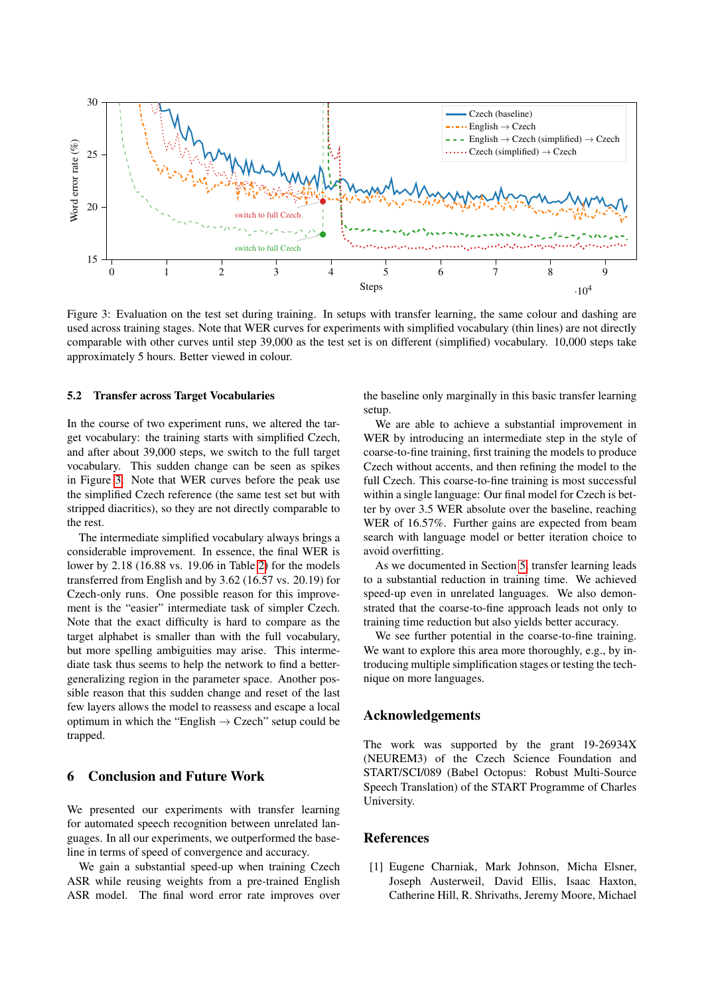<span id="page-4-2"></span>

Figure 3: Evaluation on the test set during training. In setups with transfer learning, the same colour and dashing are used across training stages. Note that WER curves for experiments with simplified vocabulary (thin lines) are not directly comparable with other curves until step 39,000 as the test set is on different (simplified) vocabulary. 10,000 steps take approximately 5 hours. Better viewed in colour.

### 5.2 Transfer across Target Vocabularies

In the course of two experiment runs, we altered the target vocabulary: the training starts with simplified Czech, and after about 39,000 steps, we switch to the full target vocabulary. This sudden change can be seen as spikes in Figure [3.](#page-4-2) Note that WER curves before the peak use the simplified Czech reference (the same test set but with stripped diacritics), so they are not directly comparable to the rest.

The intermediate simplified vocabulary always brings a considerable improvement. In essence, the final WER is lower by 2.18 (16.88 vs. 19.06 in Table [2\)](#page-3-2) for the models transferred from English and by 3.62 (16.57 vs. 20.19) for Czech-only runs. One possible reason for this improvement is the "easier" intermediate task of simpler Czech. Note that the exact difficulty is hard to compare as the target alphabet is smaller than with the full vocabulary, but more spelling ambiguities may arise. This intermediate task thus seems to help the network to find a bettergeneralizing region in the parameter space. Another possible reason that this sudden change and reset of the last few layers allows the model to reassess and escape a local optimum in which the "English  $\rightarrow$  Czech" setup could be trapped.

## <span id="page-4-0"></span>6 Conclusion and Future Work

We presented our experiments with transfer learning for automated speech recognition between unrelated languages. In all our experiments, we outperformed the baseline in terms of speed of convergence and accuracy.

We gain a substantial speed-up when training Czech ASR while reusing weights from a pre-trained English ASR model. The final word error rate improves over

the baseline only marginally in this basic transfer learning setup.

We are able to achieve a substantial improvement in WER by introducing an intermediate step in the style of coarse-to-fine training, first training the models to produce Czech without accents, and then refining the model to the full Czech. This coarse-to-fine training is most successful within a single language: Our final model for Czech is better by over 3.5 WER absolute over the baseline, reaching WER of 16.57%. Further gains are expected from beam search with language model or better iteration choice to avoid overfitting.

As we documented in Section [5,](#page-3-0) transfer learning leads to a substantial reduction in training time. We achieved speed-up even in unrelated languages. We also demonstrated that the coarse-to-fine approach leads not only to training time reduction but also yields better accuracy.

We see further potential in the coarse-to-fine training. We want to explore this area more thoroughly, e.g., by introducing multiple simplification stages or testing the technique on more languages.

### Acknowledgements

The work was supported by the grant 19-26934X (NEUREM3) of the Czech Science Foundation and START/SCI/089 (Babel Octopus: Robust Multi-Source Speech Translation) of the START Programme of Charles University.

## References

<span id="page-4-1"></span>[1] Eugene Charniak, Mark Johnson, Micha Elsner, Joseph Austerweil, David Ellis, Isaac Haxton, Catherine Hill, R. Shrivaths, Jeremy Moore, Michael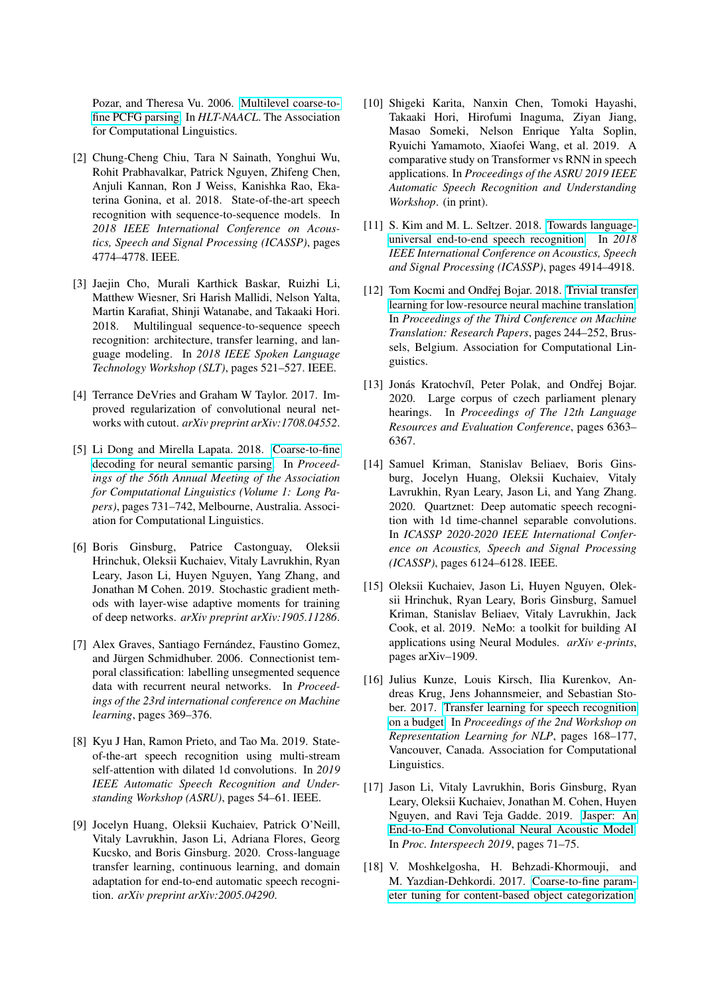Pozar, and Theresa Vu. 2006. [Multilevel coarse-to](http://acl.ldc.upenn.edu/N/N06/N06-1022.pdf)[fine PCFG parsing.](http://acl.ldc.upenn.edu/N/N06/N06-1022.pdf) In *HLT-NAACL*. The Association for Computational Linguistics.

- <span id="page-5-0"></span>[2] Chung-Cheng Chiu, Tara N Sainath, Yonghui Wu, Rohit Prabhavalkar, Patrick Nguyen, Zhifeng Chen, Anjuli Kannan, Ron J Weiss, Kanishka Rao, Ekaterina Gonina, et al. 2018. State-of-the-art speech recognition with sequence-to-sequence models. In *2018 IEEE International Conference on Acoustics, Speech and Signal Processing (ICASSP)*, pages 4774–4778. IEEE.
- <span id="page-5-8"></span>[3] Jaejin Cho, Murali Karthick Baskar, Ruizhi Li, Matthew Wiesner, Sri Harish Mallidi, Nelson Yalta, Martin Karafiat, Shinji Watanabe, and Takaaki Hori. 2018. Multilingual sequence-to-sequence speech recognition: architecture, transfer learning, and language modeling. In *2018 IEEE Spoken Language Technology Workshop (SLT)*, pages 521–527. IEEE.
- <span id="page-5-15"></span>[4] Terrance DeVries and Graham W Taylor. 2017. Improved regularization of convolutional neural networks with cutout. *arXiv preprint arXiv:1708.04552*.
- <span id="page-5-9"></span>[5] Li Dong and Mirella Lapata. 2018. [Coarse-to-fine](https://doi.org/10.18653/v1/P18-1068) [decoding for neural semantic parsing.](https://doi.org/10.18653/v1/P18-1068) In *Proceedings of the 56th Annual Meeting of the Association for Computational Linguistics (Volume 1: Long Papers)*, pages 731–742, Melbourne, Australia. Association for Computational Linguistics.
- <span id="page-5-14"></span>[6] Boris Ginsburg, Patrice Castonguay, Oleksii Hrinchuk, Oleksii Kuchaiev, Vitaly Lavrukhin, Ryan Leary, Jason Li, Huyen Nguyen, Yang Zhang, and Jonathan M Cohen. 2019. Stochastic gradient methods with layer-wise adaptive moments for training of deep networks. *arXiv preprint arXiv:1905.11286*.
- <span id="page-5-11"></span>[7] Alex Graves, Santiago Fernández, Faustino Gomez, and Jürgen Schmidhuber. 2006. Connectionist temporal classification: labelling unsegmented sequence data with recurrent neural networks. In *Proceedings of the 23rd international conference on Machine learning*, pages 369–376.
- <span id="page-5-1"></span>[8] Kyu J Han, Ramon Prieto, and Tao Ma. 2019. Stateof-the-art speech recognition using multi-stream self-attention with dilated 1d convolutions. In *2019 IEEE Automatic Speech Recognition and Understanding Workshop (ASRU)*, pages 54–61. IEEE.
- <span id="page-5-6"></span>[9] Jocelyn Huang, Oleksii Kuchaiev, Patrick O'Neill, Vitaly Lavrukhin, Jason Li, Adriana Flores, Georg Kucsko, and Boris Ginsburg. 2020. Cross-language transfer learning, continuous learning, and domain adaptation for end-to-end automatic speech recognition. *arXiv preprint arXiv:2005.04290*.
- <span id="page-5-2"></span>[10] Shigeki Karita, Nanxin Chen, Tomoki Hayashi, Takaaki Hori, Hirofumi Inaguma, Ziyan Jiang, Masao Someki, Nelson Enrique Yalta Soplin, Ryuichi Yamamoto, Xiaofei Wang, et al. 2019. A comparative study on Transformer vs RNN in speech applications. In *Proceedings of the ASRU 2019 IEEE Automatic Speech Recognition and Understanding Workshop*. (in print).
- <span id="page-5-7"></span>[11] S. Kim and M. L. Seltzer. 2018. [Towards language](https://doi.org/10.1109/ICASSP.2018.8462201)[universal end-to-end speech recognition.](https://doi.org/10.1109/ICASSP.2018.8462201) In *2018 IEEE International Conference on Acoustics, Speech and Signal Processing (ICASSP)*, pages 4914–4918.
- <span id="page-5-4"></span>[12] Tom Kocmi and Ondřej Bojar. 2018. [Trivial transfer](https://doi.org/10.18653/v1/W18-6325) [learning for low-resource neural machine translation.](https://doi.org/10.18653/v1/W18-6325) In *Proceedings of the Third Conference on Machine Translation: Research Papers*, pages 244–252, Brussels, Belgium. Association for Computational Linguistics.
- <span id="page-5-16"></span>[13] Jonás Kratochvíl, Peter Polak, and Ondřej Bojar. 2020. Large corpus of czech parliament plenary hearings. In *Proceedings of The 12th Language Resources and Evaluation Conference*, pages 6363– 6367.
- <span id="page-5-3"></span>[14] Samuel Kriman, Stanislav Beliaev, Boris Ginsburg, Jocelyn Huang, Oleksii Kuchaiev, Vitaly Lavrukhin, Ryan Leary, Jason Li, and Yang Zhang. 2020. Quartznet: Deep automatic speech recognition with 1d time-channel separable convolutions. In *ICASSP 2020-2020 IEEE International Conference on Acoustics, Speech and Signal Processing (ICASSP)*, pages 6124–6128. IEEE.
- <span id="page-5-13"></span>[15] Oleksii Kuchaiev, Jason Li, Huyen Nguyen, Oleksii Hrinchuk, Ryan Leary, Boris Ginsburg, Samuel Kriman, Stanislav Beliaev, Vitaly Lavrukhin, Jack Cook, et al. 2019. NeMo: a toolkit for building AI applications using Neural Modules. *arXiv e-prints*, pages arXiv–1909.
- <span id="page-5-5"></span>[16] Julius Kunze, Louis Kirsch, Ilia Kurenkov, Andreas Krug, Jens Johannsmeier, and Sebastian Stober. 2017. [Transfer learning for speech recognition](https://doi.org/10.18653/v1/W17-2620) [on a budget.](https://doi.org/10.18653/v1/W17-2620) In *Proceedings of the 2nd Workshop on Representation Learning for NLP*, pages 168–177, Vancouver, Canada. Association for Computational Linguistics.
- <span id="page-5-12"></span>[17] Jason Li, Vitaly Lavrukhin, Boris Ginsburg, Ryan Leary, Oleksii Kuchaiev, Jonathan M. Cohen, Huyen Nguyen, and Ravi Teja Gadde. 2019. [Jasper: An](https://doi.org/10.21437/Interspeech.2019-1819) [End-to-End Convolutional Neural Acoustic Model.](https://doi.org/10.21437/Interspeech.2019-1819) In *Proc. Interspeech 2019*, pages 71–75.
- <span id="page-5-10"></span>[18] V. Moshkelgosha, H. Behzadi-Khormouji, and M. Yazdian-Dehkordi. 2017. [Coarse-to-fine param](https://doi.org/10.1109/PRIA.2017.7983038)[eter tuning for content-based object categorization.](https://doi.org/10.1109/PRIA.2017.7983038)